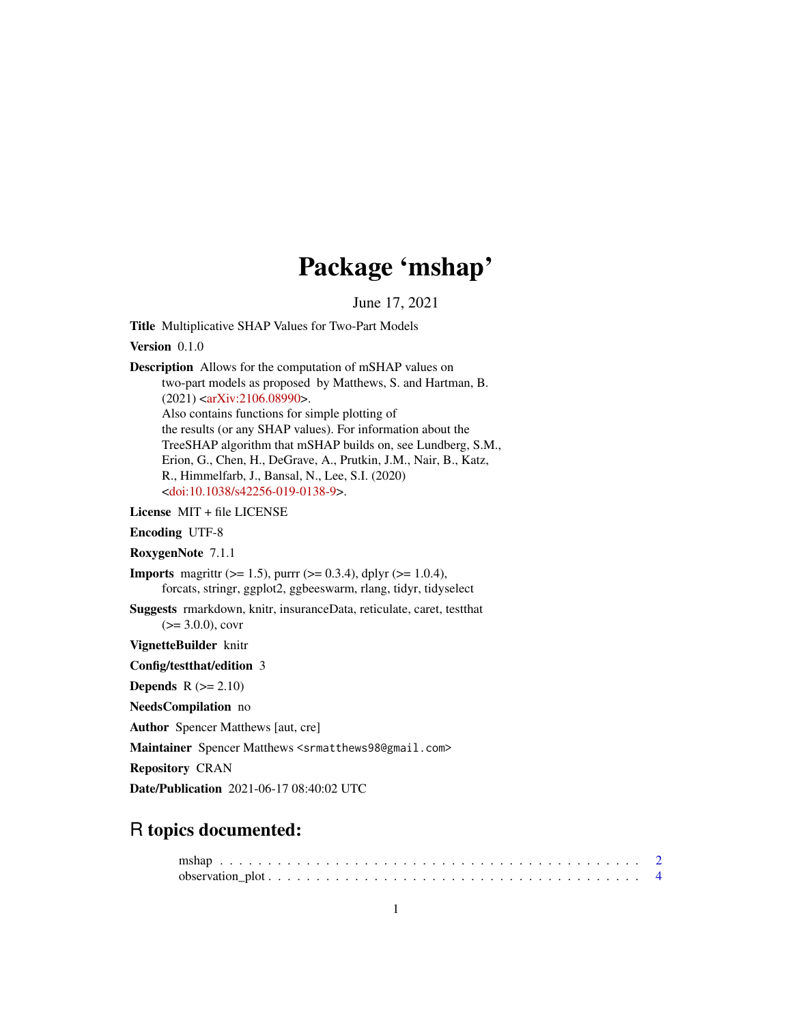## Package 'mshap'

June 17, 2021

<span id="page-0-0"></span>Title Multiplicative SHAP Values for Two-Part Models

Version 0.1.0

Description Allows for the computation of mSHAP values on two-part models as proposed by Matthews, S. and Hartman, B. (2021) [<arXiv:2106.08990>](https://arxiv.org/abs/2106.08990). Also contains functions for simple plotting of the results (or any SHAP values). For information about the TreeSHAP algorithm that mSHAP builds on, see Lundberg, S.M., Erion, G., Chen, H., DeGrave, A., Prutkin, J.M., Nair, B., Katz,

R., Himmelfarb, J., Bansal, N., Lee, S.I. (2020) [<doi:10.1038/s42256-019-0138-9>](https://doi.org/10.1038/s42256-019-0138-9).

License MIT + file LICENSE

Encoding UTF-8

RoxygenNote 7.1.1

**Imports** magnity ( $>= 1.5$ ), purre ( $>= 0.3.4$ ), dplyr ( $>= 1.0.4$ ), forcats, stringr, ggplot2, ggbeeswarm, rlang, tidyr, tidyselect

Suggests rmarkdown, knitr, insuranceData, reticulate, caret, testthat  $(>= 3.0.0)$ , covr

VignetteBuilder knitr

Config/testthat/edition 3

**Depends**  $R$  ( $>= 2.10$ )

NeedsCompilation no

Author Spencer Matthews [aut, cre]

Maintainer Spencer Matthews <srmatthews98@gmail.com>

Repository CRAN

Date/Publication 2021-06-17 08:40:02 UTC

### R topics documented: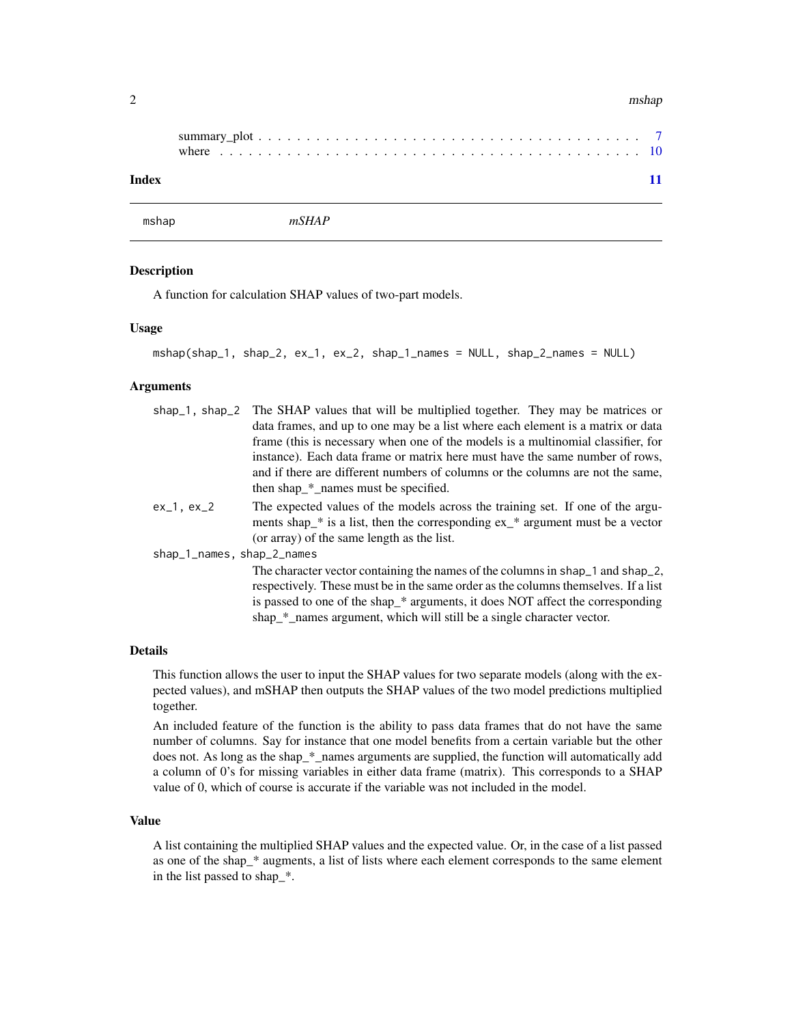#### <span id="page-1-0"></span> $2$  mshap

| Index |  |  |  |  |  |  |  |  |  |  |  |  |  |  |  |  |  |  |  |
|-------|--|--|--|--|--|--|--|--|--|--|--|--|--|--|--|--|--|--|--|

mshap *mSHAP*

#### Description

A function for calculation SHAP values of two-part models.

#### Usage

```
mshap(shap_1, shap_2, ex_1, ex_2, shap_1_names = NULL, shap_2_names = NULL)
```
#### Arguments

| shap_1, shap_2 The SHAP values that will be multiplied together. They may be matrices or                                                                                                                                                                                                                                        |
|---------------------------------------------------------------------------------------------------------------------------------------------------------------------------------------------------------------------------------------------------------------------------------------------------------------------------------|
| data frames, and up to one may be a list where each element is a matrix or data                                                                                                                                                                                                                                                 |
| frame (this is necessary when one of the models is a multinomial classifier, for                                                                                                                                                                                                                                                |
| instance). Each data frame or matrix here must have the same number of rows,                                                                                                                                                                                                                                                    |
| and if there are different numbers of columns or the columns are not the same,                                                                                                                                                                                                                                                  |
| then shap_*_names must be specified.                                                                                                                                                                                                                                                                                            |
| The expected values of the models across the training set. If one of the argu-<br>ments shap $*$ is a list, then the corresponding $ex_*$ argument must be a vector<br>(or array) of the same length as the list.                                                                                                               |
| shap_1_names, shap_2_names                                                                                                                                                                                                                                                                                                      |
| The character vector containing the names of the columns in shap_1 and shap_2,<br>respectively. These must be in the same order as the columns themselves. If a list<br>is passed to one of the shap_* arguments, it does NOT affect the corresponding<br>shap_*_names argument, which will still be a single character vector. |
|                                                                                                                                                                                                                                                                                                                                 |

#### Details

This function allows the user to input the SHAP values for two separate models (along with the expected values), and mSHAP then outputs the SHAP values of the two model predictions multiplied together.

An included feature of the function is the ability to pass data frames that do not have the same number of columns. Say for instance that one model benefits from a certain variable but the other does not. As long as the shap\_\*\_names arguments are supplied, the function will automatically add a column of 0's for missing variables in either data frame (matrix). This corresponds to a SHAP value of 0, which of course is accurate if the variable was not included in the model.

#### Value

A list containing the multiplied SHAP values and the expected value. Or, in the case of a list passed as one of the shap\_\* augments, a list of lists where each element corresponds to the same element in the list passed to shap\_\*.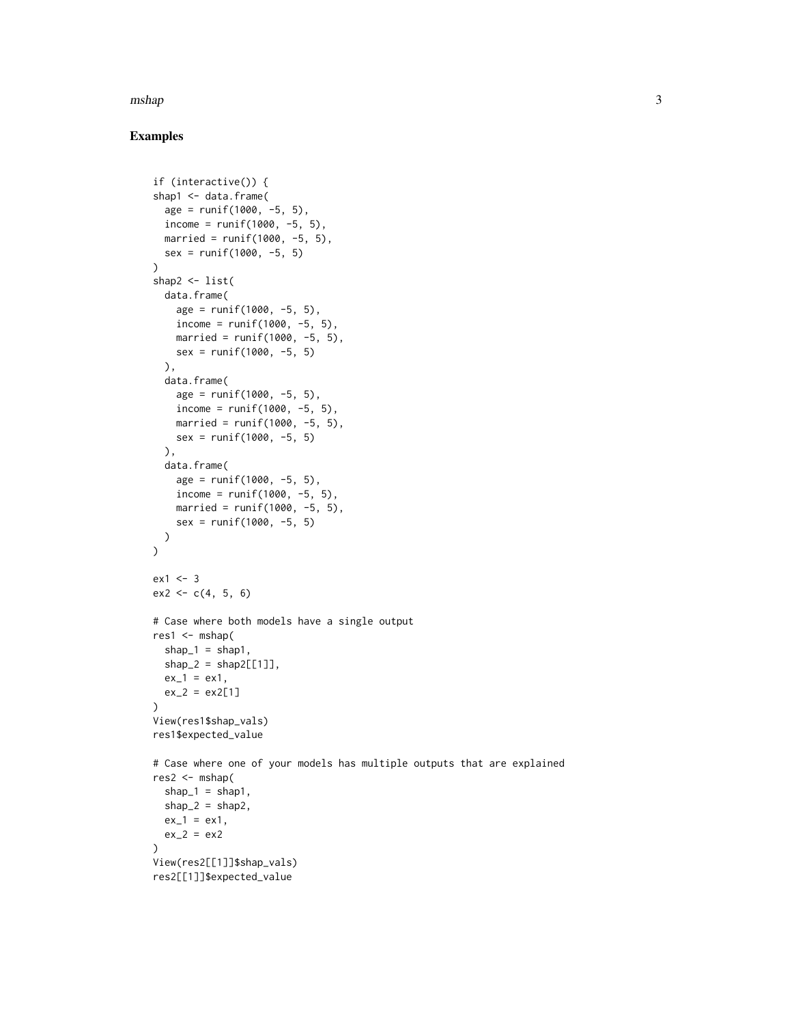#### $m$ shap  $3$

#### Examples

```
if (interactive()) {
shap1 <- data.frame(
  age = runif(1000, -5, 5),
  income = runif(1000, -5, 5),
  married = runif(1000, -5, 5),
  sex = runif(1000, -5, 5))
shap2 \le list(
  data.frame(
   age = runif(1000, -5, 5),income = runif(1000, -5, 5),
   married = runif(1000, -5, 5),
   sex = runif(1000, -5, 5)),
  data.frame(
   age = runif(1000, -5, 5),income = runit(1000, -5, 5),
   married = runif(1000, -5, 5),
   sex = runif(1000, -5, 5)
  ),
  data.frame(
   age = runif(1000, -5, 5),income = runif(1000, -5, 5),
   married = runif(1000, -5, 5),
   sex = runif(1000, -5, 5)\lambda)
ex1 < -3ex2 < -c(4, 5, 6)# Case where both models have a single output
res1 < -mshap(shape_1 = shape1,
  shape_2 = shape_2 [1]],
  ex_1 = ex_1,
  ex_2 = ex_2[1])
View(res1$shap_vals)
res1$expected_value
# Case where one of your models has multiple outputs that are explained
res2 < -mshap(shape_1 = shape_1,
  shape_2 = shape2,
  ex_1 = ex_1,
  ex_2 = ex_2)
View(res2[[1]]$shap_vals)
res2[[1]]$expected_value
```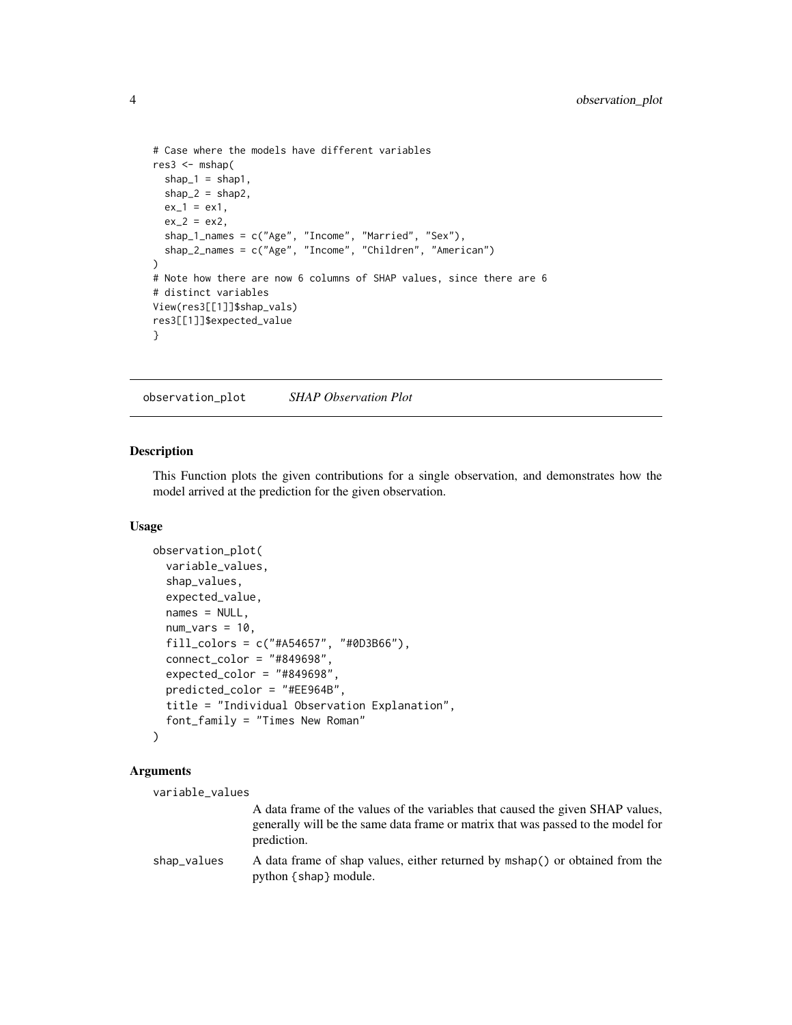```
# Case where the models have different variables
res3 < - mshap(
 shape_1 = shape1,
 shape_2 = shape2,
 ex_1 = ex_1,
 ex_2 = ex_2,
 shap_1_names = c("Age", "Income", "Married", "Sex"),
 shap_2_names = c("Age", "Income", "Children", "American")
\lambda# Note how there are now 6 columns of SHAP values, since there are 6
# distinct variables
View(res3[[1]]$shap_vals)
res3[[1]]$expected_value
}
```
observation\_plot *SHAP Observation Plot*

#### Description

This Function plots the given contributions for a single observation, and demonstrates how the model arrived at the prediction for the given observation.

#### Usage

```
observation_plot(
  variable_values,
  shap_values,
  expected_value,
  names = NULL,num\_vars = 10,
  fill_colors = c("#A54657", "#0D3B66"),
  connect\_color = "#849698",expected_color = "#849698",
  predicted_color = "#EE964B",
  title = "Individual Observation Explanation",
  font_family = "Times New Roman"
\mathcal{L}
```
#### Arguments

```
variable_values
```
A data frame of the values of the variables that caused the given SHAP values, generally will be the same data frame or matrix that was passed to the model for prediction.

```
shap_values A data frame of shap values, either returned by mshap() or obtained from the
                python {shap} module.
```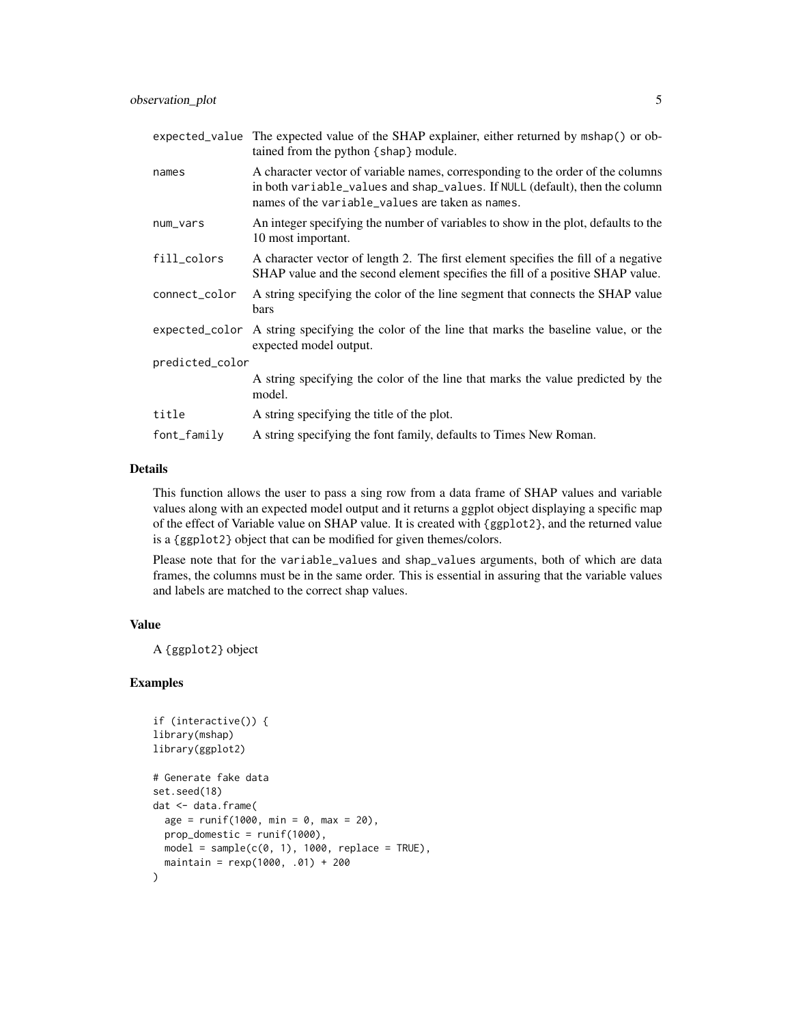|                 | expected_value The expected value of the SHAP explainer, either returned by mshap() or ob-<br>tained from the python {shap} module.                                                                                |
|-----------------|--------------------------------------------------------------------------------------------------------------------------------------------------------------------------------------------------------------------|
| names           | A character vector of variable names, corresponding to the order of the columns<br>in both variable_values and shap_values. If NULL (default), then the column<br>names of the variable_values are taken as names. |
| num_vars        | An integer specifying the number of variables to show in the plot, defaults to the<br>10 most important.                                                                                                           |
| fill_colors     | A character vector of length 2. The first element specifies the fill of a negative<br>SHAP value and the second element specifies the fill of a positive SHAP value.                                               |
| connect_color   | A string specifying the color of the line segment that connects the SHAP value<br>bars                                                                                                                             |
| expected_color  | A string specifying the color of the line that marks the baseline value, or the<br>expected model output.                                                                                                          |
| predicted_color |                                                                                                                                                                                                                    |
|                 | A string specifying the color of the line that marks the value predicted by the<br>model.                                                                                                                          |
| title           | A string specifying the title of the plot.                                                                                                                                                                         |
| font_family     | A string specifying the font family, defaults to Times New Roman.                                                                                                                                                  |

#### Details

This function allows the user to pass a sing row from a data frame of SHAP values and variable values along with an expected model output and it returns a ggplot object displaying a specific map of the effect of Variable value on SHAP value. It is created with {ggplot2}, and the returned value is a {ggplot2} object that can be modified for given themes/colors.

Please note that for the variable\_values and shap\_values arguments, both of which are data frames, the columns must be in the same order. This is essential in assuring that the variable values and labels are matched to the correct shap values.

#### Value

A {ggplot2} object

#### Examples

```
if (interactive()) {
library(mshap)
library(ggplot2)
# Generate fake data
set.seed(18)
dat <- data.frame(
  age = runif(1000, min = 0, max = 20),
  prop\_domestic = runif(1000),model = sample(c(0, 1), 1000, replace = TRUE),maintain = rexp(1000, .01) + 200
)
```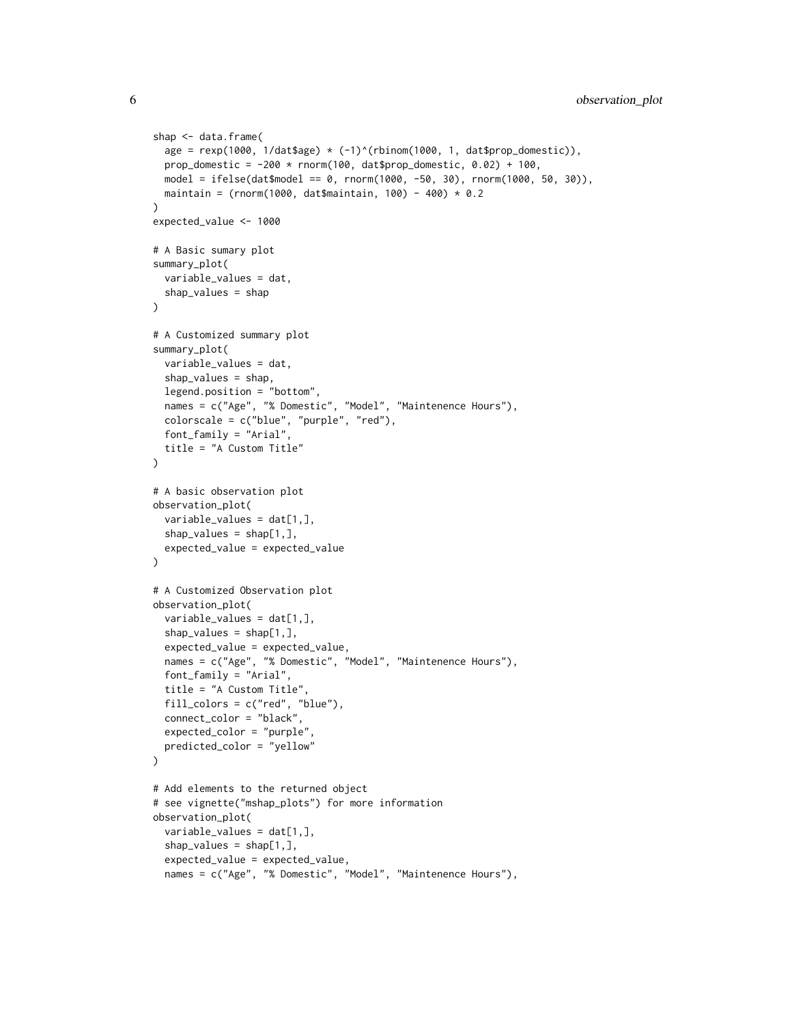```
shap <- data.frame(
 age = rexp(1000, 1/dat$age) * (-1)^{(rbinom(1000, 1, dat$prop_domestic)),
 prop_domestic = -200 \times \text{norm}(100, \text{dat$prop\_domestic}, 0.02) + 100,model = ifelse(dat$model == 0, rnorm(1000, -50, 30), rnorm(1000, 50, 30)),
 maintain = (rnorm(1000, dat$maintain, 100) - 400) * 0.2
\lambdaexpected_value <- 1000
# A Basic sumary plot
summary_plot(
 variable_values = dat,
 shap_values = shap
)
# A Customized summary plot
summary_plot(
 variable_values = dat,
 shap_values = shap,
 legend.position = "bottom",
 names = c("Age", "% Domestic", "Model", "Maintenence Hours"),
 colorscale = c("blue", "purple", "red"),
 font_family = "Arial",
 title = "A Custom Title"
)
# A basic observation plot
observation_plot(
 variable_values = dat[1,],
 shap_values = shap[1,],
 expected_value = expected_value
\lambda# A Customized Observation plot
observation_plot(
 variable_values = dat[1,],
 shap_values = shap[1,],
 expected_value = expected_value,
 names = c("Age", "% Domestic", "Model", "Maintenence Hours"),
 font_family = "Arial",
 title = "A Custom Title",
 fill_colors = c("red", "blue"),
 connect_color = "black",
 expected_color = "purple",
 predicted_color = "yellow"
)
# Add elements to the returned object
# see vignette("mshap_plots") for more information
observation_plot(
 variable_values = dat[1,],
 shap_values = shap[1,],
 expected_value = expected_value,
 names = c("Age", "% Domestic", "Model", "Maintenence Hours"),
```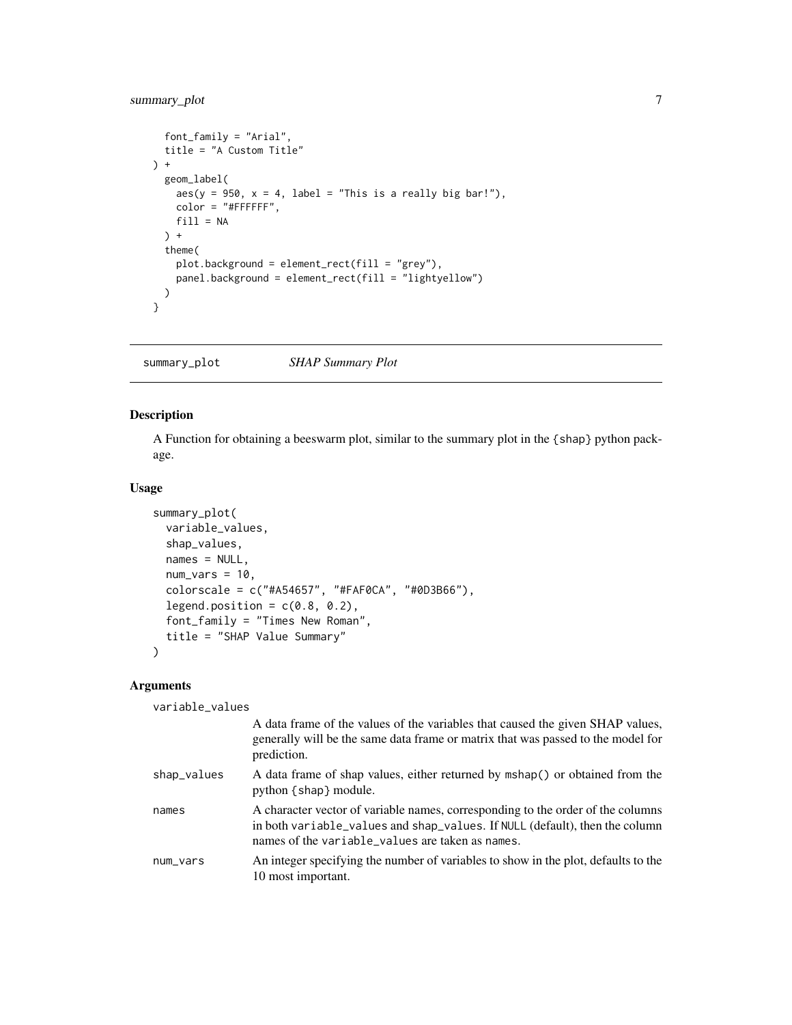#### <span id="page-6-0"></span>summary\_plot 7

```
font_family = "Arial",
  title = "A Custom Title"
) +
  geom_label(
    aes(y = 950, x = 4, label = "This is a really big bar!"),color = "#FFFFFF",
   fill = NA) +
  theme(
    plot.background = element_rect(fill = "grey"),
    panel.background = element_rect(fill = "lightyellow")
  \overline{\phantom{a}}}
```
summary\_plot *SHAP Summary Plot*

#### Description

A Function for obtaining a beeswarm plot, similar to the summary plot in the {shap} python package.

#### Usage

```
summary_plot(
 variable_values,
  shap_values,
 names = NULL,
 num\_vars = 10,
 colorscale = c("#A54657", "#FAF0CA", "#0D3B66"),
 legend.position = c(0.8, 0.2),
 font_family = "Times New Roman",
 title = "SHAP Value Summary"
\mathcal{L}
```
#### Arguments

variable\_values

|             | A data frame of the values of the variables that caused the given SHAP values,<br>generally will be the same data frame or matrix that was passed to the model for<br>prediction.                                  |
|-------------|--------------------------------------------------------------------------------------------------------------------------------------------------------------------------------------------------------------------|
| shap_values | A data frame of shap values, either returned by mshap() or obtained from the<br>python { shap } module.                                                                                                            |
| names       | A character vector of variable names, corresponding to the order of the columns<br>in both variable_values and shap_values. If NULL (default), then the column<br>names of the variable_values are taken as names. |
| num_vars    | An integer specifying the number of variables to show in the plot, defaults to the<br>10 most important.                                                                                                           |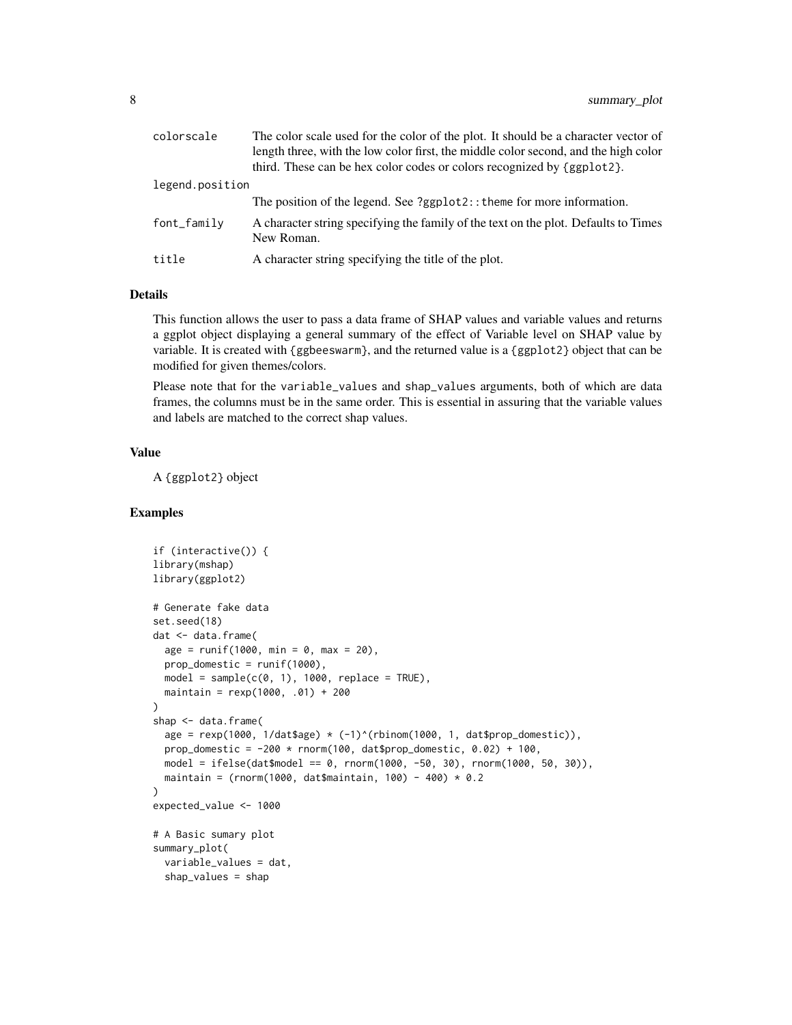| colorscale       | The color scale used for the color of the plot. It should be a character vector of                |
|------------------|---------------------------------------------------------------------------------------------------|
|                  | length three, with the low color first, the middle color second, and the high color               |
|                  | third. These can be hex color codes or colors recognized by {ggplot2}.                            |
| legend.position  |                                                                                                   |
|                  | The position of the legend. See ?ggplot2:: theme for more information.                            |
| $font$ $f$ amily | A character string specifying the family of the text on the plot. Defaults to Times<br>New Roman. |
| title            | A character string specifying the title of the plot.                                              |

#### Details

This function allows the user to pass a data frame of SHAP values and variable values and returns a ggplot object displaying a general summary of the effect of Variable level on SHAP value by variable. It is created with {ggbeeswarm}, and the returned value is a {ggplot2} object that can be modified for given themes/colors.

Please note that for the variable\_values and shap\_values arguments, both of which are data frames, the columns must be in the same order. This is essential in assuring that the variable values and labels are matched to the correct shap values.

#### Value

A {ggplot2} object

#### Examples

```
if (interactive()) {
library(mshap)
library(ggplot2)
# Generate fake data
set.seed(18)
dat <- data.frame(
  age = runif(1000, min = 0, max = 20),
  prop_domestic = runif(1000),
  model = sample(c(0, 1), 1000, replace = TRUE),maintain = rexp(1000, .01) + 200
)
shap <- data.frame(
  age = resp(1000, 1/dat6age) * (-1)^{(rbinom(1000, 1, dat6prop\_domestic)),prop_domestic = -200 \times \text{norm}(100, \text{dat$prop\_domestic}, 0.02) + 100,model = ifelse(dat$model == 0, rnorm(1000, -50, 30), rnorm(1000, 50, 30)),
  maintain = (rnorm(1000, dat$maintain, 100) - 400) * 0.2
\mathcal{L}expected_value <- 1000
# A Basic sumary plot
summary_plot(
  variable_values = dat,
  shap_values = shap
```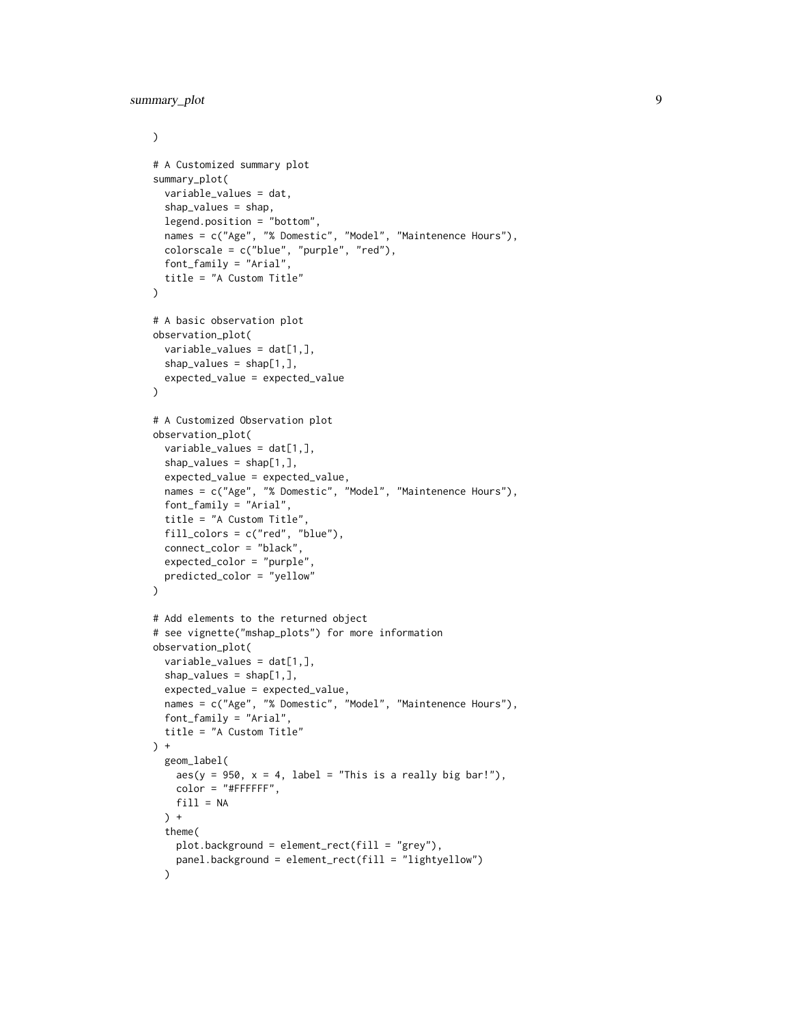```
\mathcal{L}# A Customized summary plot
summary_plot(
  variable_values = dat,
  shap_values = shap,
  legend.position = "bottom",
  names = c("Age", "% Domestic", "Model", "Maintenence Hours"),
  colorscale = c("blue", "purple", "red"),
  font_family = "Arial",
  title = "A Custom Title"
\mathcal{L}# A basic observation plot
observation_plot(
  variable_values = dat[1,],
  shap_values = shap[1,],
  expected_value = expected_value
)
# A Customized Observation plot
observation_plot(
  variable_values = dat[1,],
  shap_values = shap[1,],
  expected_value = expected_value,
  names = c("Age", "% Domestic", "Model", "Maintenence Hours"),
  font_family = "Arial",
  title = "A Custom Title",
  fill_colors = c("red", "blue"),
  connect_color = "black",
  expected_color = "purple",
  predicted_color = "yellow"
\lambda# Add elements to the returned object
# see vignette("mshap_plots") for more information
observation_plot(
  variable_values = dat[1,],
  shap_values = shap[1,],
  expected_value = expected_value,
  names = c("Age", "% Domestic", "Model", "Maintenence Hours"),
  font_family = "Arial",
  title = "A Custom Title"
) +
  geom_label(
    aes(y = 950, x = 4, label = "This is a really big bar!"),color = "HFFFFFF",fill = NA\rightarrow +
  theme(
    plot.background = element_rect(fill = "grey"),
    panel.background = element_rect(fill = "lightyellow")
  )
```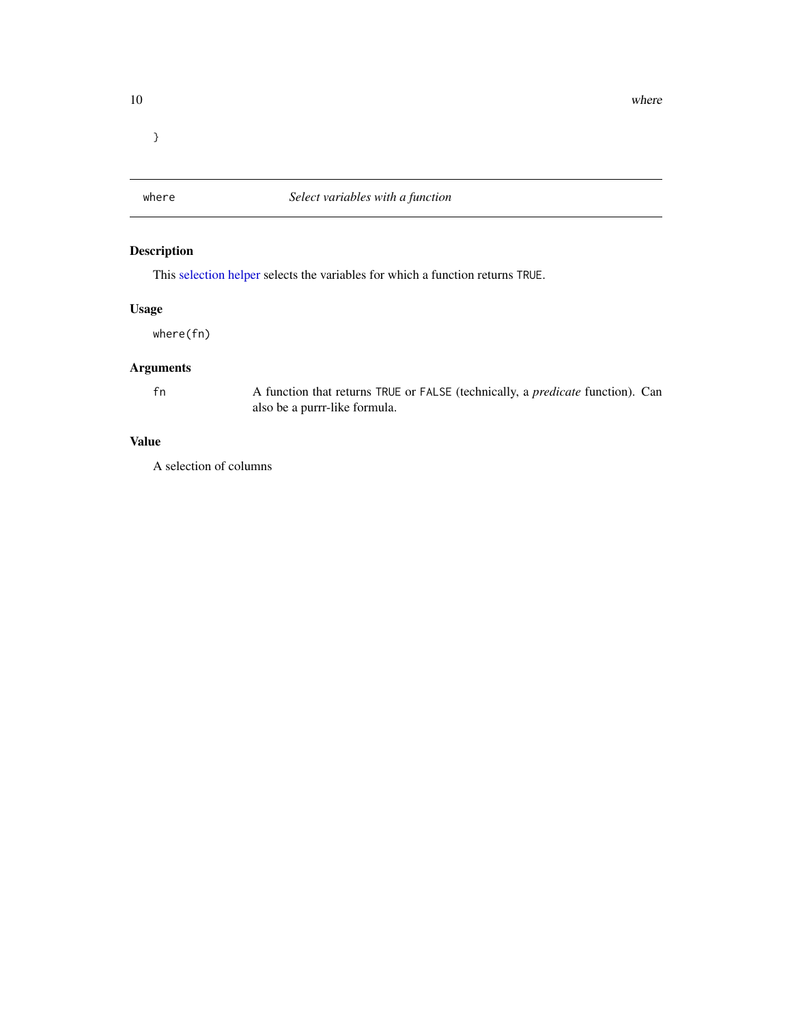<span id="page-9-0"></span>}

where *Select variables with a function*

#### Description

This [selection helper](#page-0-0) selects the variables for which a function returns TRUE.

#### Usage

where(fn)

#### Arguments

fn A function that returns TRUE or FALSE (technically, a *predicate* function). Can also be a purrr-like formula.

#### Value

A selection of columns